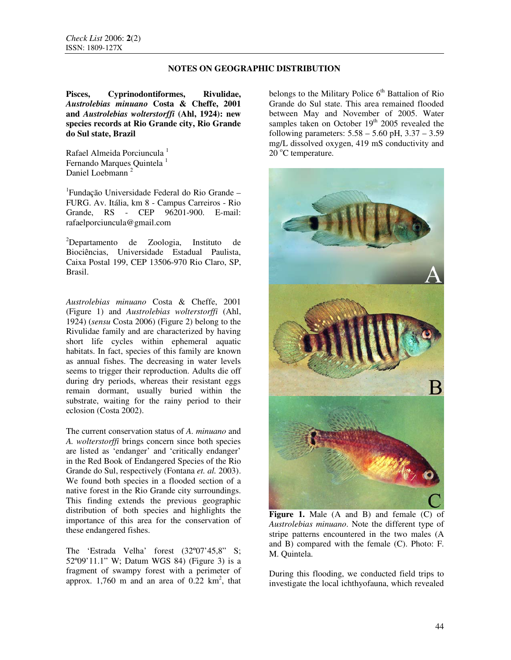# **NOTES ON GEOGRAPHIC DISTRIBUTION**

**Pisces, Cyprinodontiformes, Rivulidae,**  *Austrolebias minuano* **Costa & Cheffe, 2001 and** *Austrolebias wolterstorffi* **(Ahl, 1924): new species records at Rio Grande city, Rio Grande do Sul state, Brazil** 

Rafael Almeida Porciuncula<sup>1</sup> Fernando Marques Quintela<sup>1</sup> Daniel Loebmann<sup>2</sup>

<sup>1</sup> Fundação Universidade Federal do Rio Grande – FURG. Av. Itália, km 8 - Campus Carreiros - Rio Grande, RS - CEP 96201-900. E-mail: rafaelporciuncula@gmail.com

<sup>2</sup>Departamento de Zoologia, Instituto de Biociências, Universidade Estadual Paulista, Caixa Postal 199, CEP 13506-970 Rio Claro, SP, Brasil.

*Austrolebias minuano* Costa & Cheffe, 2001 (Figure 1) and *Austrolebias wolterstorffi* (Ahl, 1924) (*sensu* Costa 2006) (Figure 2) belong to the Rivulidae family and are characterized by having short life cycles within ephemeral aquatic habitats. In fact, species of this family are known as annual fishes. The decreasing in water levels seems to trigger their reproduction. Adults die off during dry periods, whereas their resistant eggs remain dormant, usually buried within the substrate, waiting for the rainy period to their eclosion (Costa 2002).

The current conservation status of *A. minuano* and *A. wolterstorffi* brings concern since both species are listed as 'endanger' and 'critically endanger' in the Red Book of Endangered Species of the Rio Grande do Sul, respectively (Fontana *et. al.* 2003). We found both species in a flooded section of a native forest in the Rio Grande city surroundings. This finding extends the previous geographic distribution of both species and highlights the importance of this area for the conservation of these endangered fishes.

The 'Estrada Velha' forest (32º07'45,8" S; 52º09'11.1" W; Datum WGS 84) (Figure 3) is a fragment of swampy forest with a perimeter of approx.  $1,760$  m and an area of  $0.22 \text{ km}^2$ , that belongs to the Military Police  $6<sup>th</sup>$  Battalion of Rio Grande do Sul state. This area remained flooded between May and November of 2005. Water samples taken on October 19<sup>th</sup> 2005 revealed the following parameters:  $5.58 - 5.60$  pH,  $3.37 - 3.59$ mg/L dissolved oxygen, 419 mS conductivity and 20 °C temperature.



**Figure 1.** Male (A and B) and female (C) of *Austrolebias minuano*. Note the different type of stripe patterns encountered in the two males (A and B) compared with the female (C). Photo: F. M. Quintela.

During this flooding, we conducted field trips to investigate the local ichthyofauna, which revealed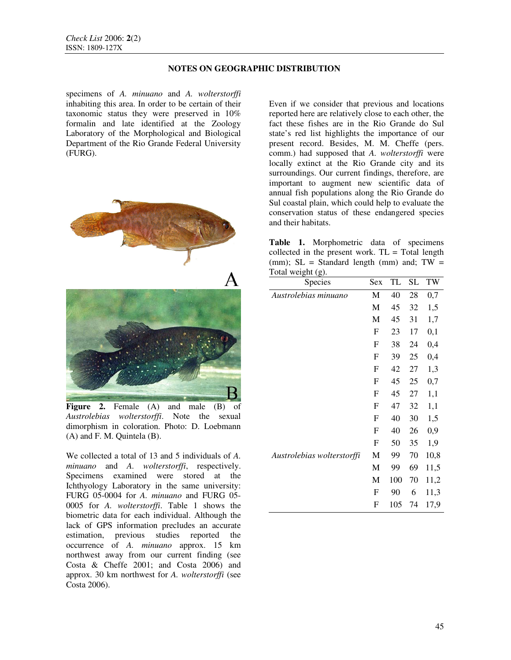# **NOTES ON GEOGRAPHIC DISTRIBUTION**

specimens of *A. minuano* and *A. wolterstorffi*  inhabiting this area. In order to be certain of their taxonomic status they were preserved in 10% formalin and late identified at the Zoology Laboratory of the Morphological and Biological Department of the Rio Grande Federal University (FURG).



**Figure 2.** Female (A) and male (B) of *Austrolebias wolterstorffi*. Note the sexual dimorphism in coloration. Photo: D. Loebmann (A) and F. M. Quintela (B).

We collected a total of 13 and 5 individuals of *A. minuano* and *A. wolterstorffi*, respectively. Specimens examined were stored at the Ichthyology Laboratory in the same university: FURG 05-0004 for *A. minuano* and FURG 05- 0005 for *A. wolterstorffi*. Table 1 shows the biometric data for each individual. Although the lack of GPS information precludes an accurate estimation, previous studies reported the occurrence of *A. minuano* approx. 15 km northwest away from our current finding (see Costa & Cheffe 2001; and Costa 2006) and approx. 30 km northwest for *A. wolterstorffi* (see Costa 2006).

Even if we consider that previous and locations reported here are relatively close to each other, the fact these fishes are in the Rio Grande do Sul state's red list highlights the importance of our present record. Besides, M. M. Cheffe (pers. comm.) had supposed that *A. wolterstorffi* were locally extinct at the Rio Grande city and its surroundings. Our current findings, therefore, are important to augment new scientific data of annual fish populations along the Rio Grande do Sul coastal plain, which could help to evaluate the conservation status of these endangered species and their habitats.

**Table 1.** Morphometric data of specimens collected in the present work.  $TL = Total length$ (mm);  $SL = Standard$  length (mm) and;  $TW =$  $Total weight (g)$ 

| Species                    | Sex                       | TL  | <b>SL</b> | TW       |
|----------------------------|---------------------------|-----|-----------|----------|
| Austrolebias minuano       | M                         | 40  | 28        | $_{0,7}$ |
|                            | M                         | 45  | 32        | 1,5      |
|                            | M                         | 45  | 31        | 1,7      |
|                            | $\boldsymbol{\mathrm{F}}$ | 23  | 17        | $_{0,1}$ |
|                            | F                         | 38  | 24        | 0,4      |
|                            | F                         | 39  | 25        | 0,4      |
|                            | F                         | 42  | 27        | 1,3      |
|                            | F                         | 45  | 25        | $_{0,7}$ |
|                            | F                         | 45  | 27        | 1,1      |
|                            | F                         | 47  | 32        | 1,1      |
|                            | F                         | 40  | 30        | 1,5      |
|                            | F                         | 40  | 26        | $_{0,9}$ |
|                            | F                         | 50  | 35        | 1,9      |
| Austrolebias wolterstorffi | М                         | 99  | 70        | 10,8     |
|                            | М                         | 99  | 69        | 11,5     |
|                            | М                         | 100 | 70        | 11,2     |
|                            | F                         | 90  | 6         | 11,3     |
|                            | F                         | 105 | 74        | 17,9     |